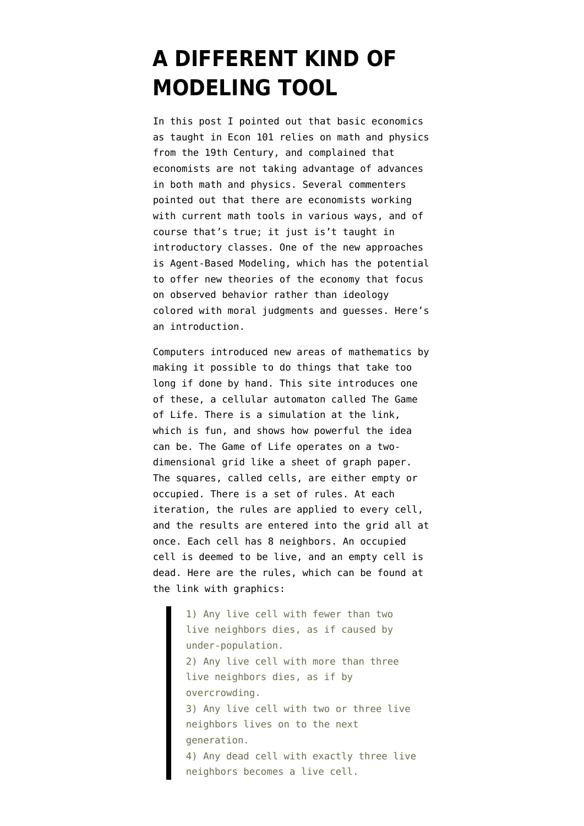## **[A DIFFERENT KIND OF](https://www.emptywheel.net/2017/04/13/a-different-kind-of-modeling-tool/) [MODELING TOOL](https://www.emptywheel.net/2017/04/13/a-different-kind-of-modeling-tool/)**

In [this post](https://www.emptywheel.net/2017/04/01/the-outdated-math-and-physics-behind-economics/) I pointed out that basic economics as taught in Econ 101 relies on math and physics from the 19th Century, and complained that economists are not taking advantage of advances in both math and physics. Several commenters pointed out that there are economists working with current math tools in various ways, and of course that's true; it just is't taught in introductory classes. One of the new approaches is Agent-Based Modeling, which has the potential to offer new theories of the economy that focus on observed behavior rather than ideology colored with moral judgments and guesses. Here's an introduction.

Computers introduced new areas of mathematics by making it possible to do things that take too long if done by hand. [This site introduces](http://web.stanford.edu/~cdebs/GameOfLife/) one of these, a cellular automaton called The Game of Life. There is a simulation at the link, which is fun, and shows how powerful the idea can be. The Game of Life operates on a twodimensional grid like a sheet of graph paper. The squares, called cells, are either empty or occupied. There is a set of rules. At each iteration, the rules are applied to every cell, and the results are entered into the grid all at once. Each cell has 8 neighbors. An occupied cell is deemed to be live, and an empty cell is dead. Here are the rules, which can be found at the link with graphics:

> 1) Any live cell with fewer than two live neighbors dies, as if caused by under-population. 2) Any live cell with more than three live neighbors dies, as if by overcrowding. 3) Any live cell with two or three live neighbors lives on to the next generation. 4) Any dead cell with exactly three live neighbors becomes a live cell.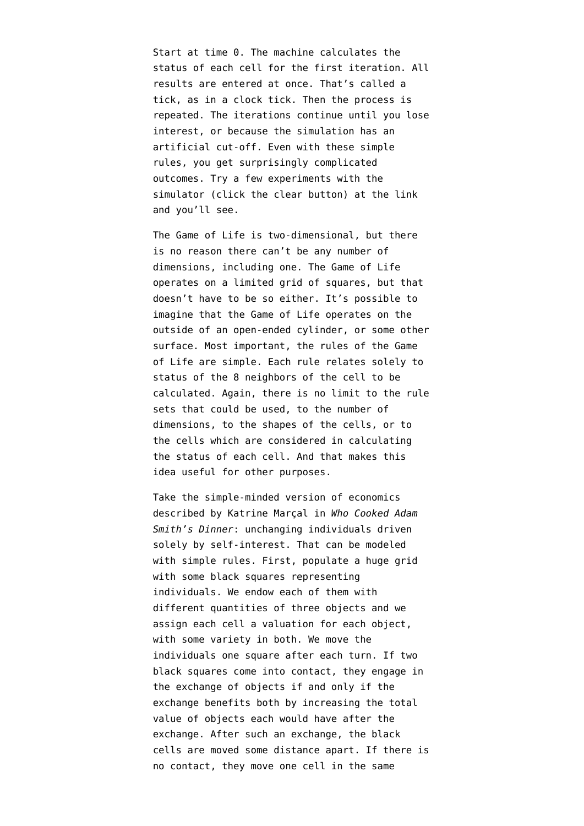Start at time 0. The machine calculates the status of each cell for the first iteration. All results are entered at once. That's called a tick, as in a clock tick. Then the process is repeated. The iterations continue until you lose interest, or because the simulation has an artificial cut-off. Even with these simple rules, you get surprisingly complicated outcomes. Try a few experiments with the simulator (click the clear button) at the link and you'll see.

The Game of Life is two-dimensional, but there is no reason there can't be any number of dimensions, including one. The Game of Life operates on a limited grid of squares, but that doesn't have to be so either. It's possible to imagine that the Game of Life operates on the outside of an open-ended cylinder, or some other surface. Most important, the rules of the Game of Life are simple. Each rule relates solely to status of the 8 neighbors of the cell to be calculated. Again, there is no limit to the rule sets that could be used, to the number of dimensions, to the shapes of the cells, or to the cells which are considered in calculating the status of each cell. And that makes this idea useful for other purposes.

Take the simple-minded version of economics described by Katrine Marçal in *Who Cooked Adam Smith's Dinner*: unchanging individuals driven solely by self-interest. That can be modeled with simple rules. First, populate a huge grid with some black squares representing individuals. We endow each of them with different quantities of three objects and we assign each cell a valuation for each object, with some variety in both. We move the individuals one square after each turn. If two black squares come into contact, they engage in the exchange of objects if and only if the exchange benefits both by increasing the total value of objects each would have after the exchange. After such an exchange, the black cells are moved some distance apart. If there is no contact, they move one cell in the same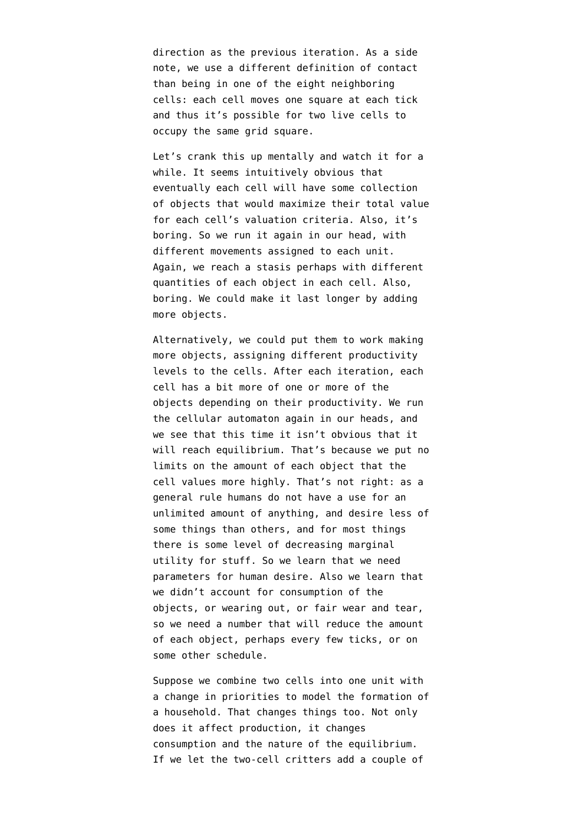direction as the previous iteration. As a side note, we use a different definition of contact than being in one of the eight neighboring cells: each cell moves one square at each tick and thus it's possible for two live cells to occupy the same grid square.

Let's crank this up mentally and watch it for a while. It seems intuitively obvious that eventually each cell will have some collection of objects that would maximize their total value for each cell's valuation criteria. Also, it's boring. So we run it again in our head, with different movements assigned to each unit. Again, we reach a stasis perhaps with different quantities of each object in each cell. Also, boring. We could make it last longer by adding more objects.

Alternatively, we could put them to work making more objects, assigning different productivity levels to the cells. After each iteration, each cell has a bit more of one or more of the objects depending on their productivity. We run the cellular automaton again in our heads, and we see that this time it isn't obvious that it will reach equilibrium. That's because we put no limits on the amount of each object that the cell values more highly. That's not right: as a general rule humans do not have a use for an unlimited amount of anything, and desire less of some things than others, and for most things there is some level of decreasing marginal utility for stuff. So we learn that we need parameters for human desire. Also we learn that we didn't account for consumption of the objects, or wearing out, or fair wear and tear, so we need a number that will reduce the amount of each object, perhaps every few ticks, or on some other schedule.

Suppose we combine two cells into one unit with a change in priorities to model the formation of a household. That changes things too. Not only does it affect production, it changes consumption and the nature of the equilibrium. If we let the two-cell critters add a couple of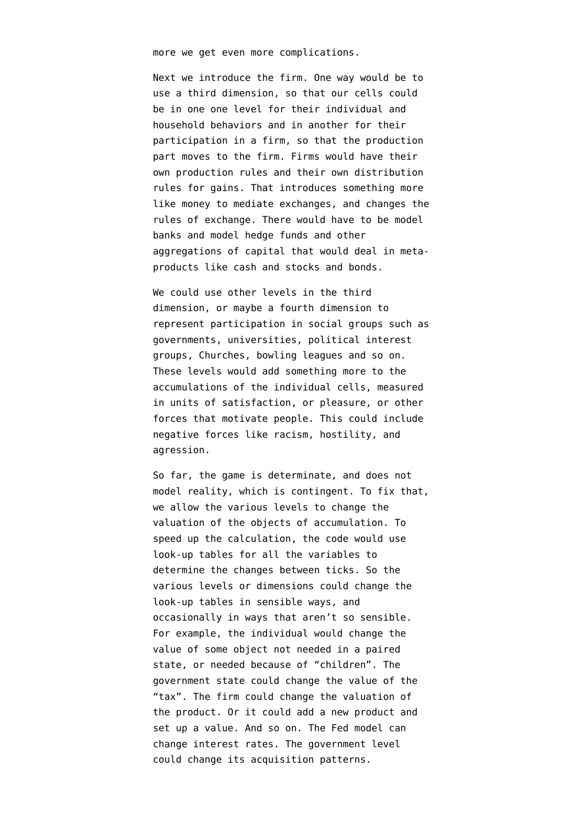more we get even more complications.

Next we introduce the firm. One way would be to use a third dimension, so that our cells could be in one one level for their individual and household behaviors and in another for their participation in a firm, so that the production part moves to the firm. Firms would have their own production rules and their own distribution rules for gains. That introduces something more like money to mediate exchanges, and changes the rules of exchange. There would have to be model banks and model hedge funds and other aggregations of capital that would deal in metaproducts like cash and stocks and bonds.

We could use other levels in the third dimension, or maybe a fourth dimension to represent participation in social groups such as governments, universities, political interest groups, Churches, bowling leagues and so on. These levels would add something more to the accumulations of the individual cells, measured in units of satisfaction, or pleasure, or other forces that motivate people. This could include negative forces like racism, hostility, and agression.

So far, the game is determinate, and does not model reality, which is contingent. To fix that, we allow the various levels to change the valuation of the objects of accumulation. To speed up the calculation, the code would use look-up tables for all the variables to determine the changes between ticks. So the various levels or dimensions could change the look-up tables in sensible ways, and occasionally in ways that aren't so sensible. For example, the individual would change the value of some object not needed in a paired state, or needed because of "children". The government state could change the value of the "tax". The firm could change the valuation of the product. Or it could add a new product and set up a value. And so on. The Fed model can change interest rates. The government level could change its acquisition patterns.